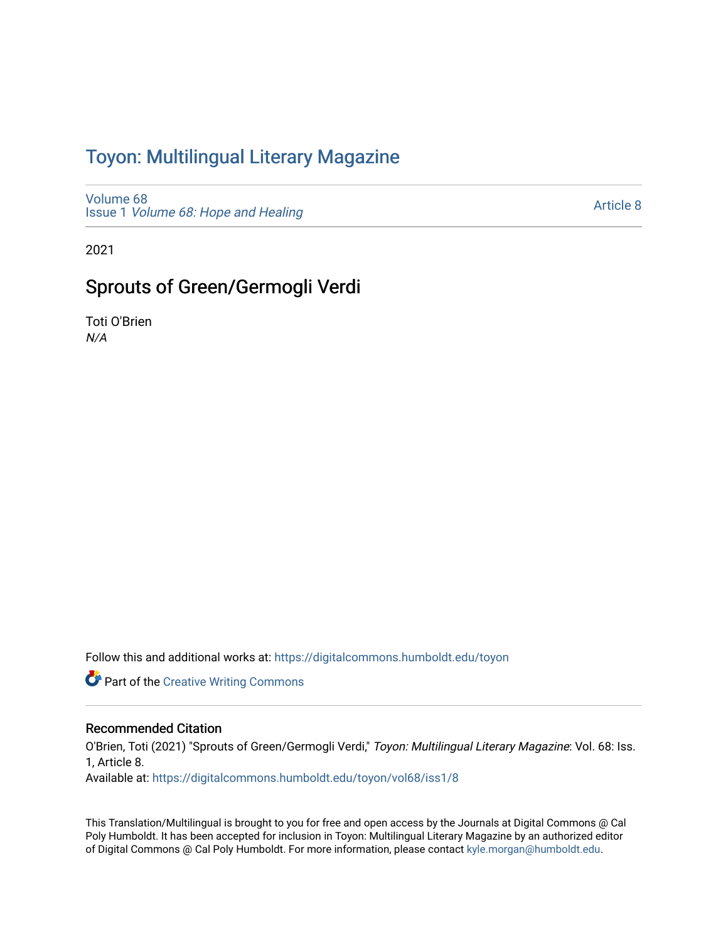## Toyon: Multilingual Literar[y](https://digitalcommons.humboldt.edu/toyon) Magazine

[Volume 68](https://digitalcommons.humboldt.edu/toyon/vol68) Issue 1 [Volume 68: Hope and Healing](https://digitalcommons.humboldt.edu/toyon/vol68/iss1) 

[Article 8](https://digitalcommons.humboldt.edu/toyon/vol68/iss1/8) 

2021

## Sprouts of Green/Germogli Verdi

Toti O'Brien N/A

Follow this and additional works at: [https://digitalcommons.humboldt.edu/toyon](https://digitalcommons.humboldt.edu/toyon?utm_source=digitalcommons.humboldt.edu%2Ftoyon%2Fvol68%2Fiss1%2F8&utm_medium=PDF&utm_campaign=PDFCoverPages)

**Part of the Creative Writing Commons** 

## Recommended Citation

O'Brien, Toti (2021) "Sprouts of Green/Germogli Verdi," Toyon: Multilingual Literary Magazine: Vol. 68: Iss. 1, Article 8.

Available at: [https://digitalcommons.humboldt.edu/toyon/vol68/iss1/8](https://digitalcommons.humboldt.edu/toyon/vol68/iss1/8?utm_source=digitalcommons.humboldt.edu%2Ftoyon%2Fvol68%2Fiss1%2F8&utm_medium=PDF&utm_campaign=PDFCoverPages)

This Translation/Multilingual is brought to you for free and open access by the Journals at Digital Commons @ Cal Poly Humboldt. It has been accepted for inclusion in Toyon: Multilingual Literary Magazine by an authorized editor of Digital Commons @ Cal Poly Humboldt. For more information, please contact [kyle.morgan@humboldt.edu](mailto:kyle.morgan@humboldt.edu).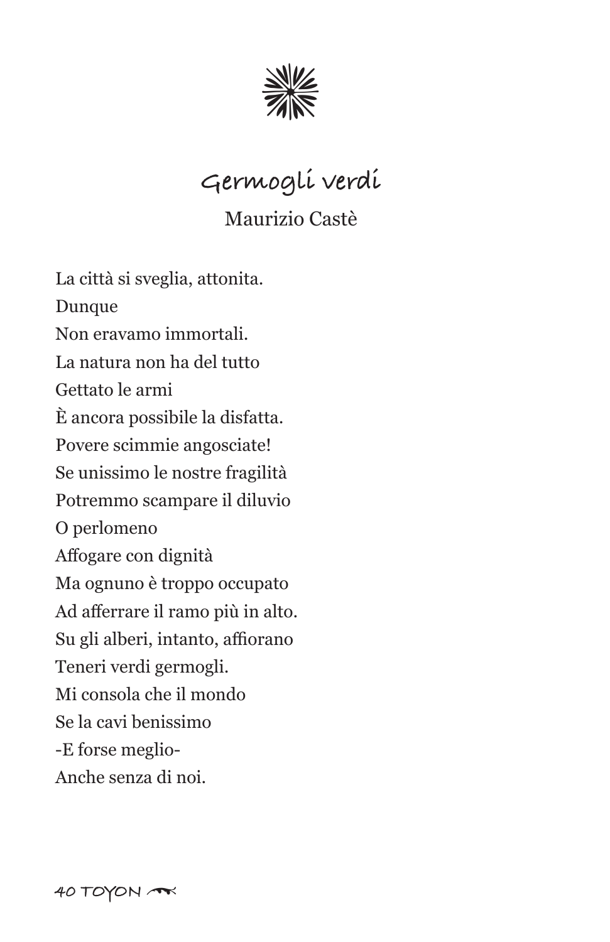

**Germogli verdi**

Maurizio Castè

La città si sveglia, attonita. Dunque Non eravamo immortali. La natura non ha del tutto Gettato le armi È ancora possibile la disfatta. Povere scimmie angosciate! Se unissimo le nostre fragilità Potremmo scampare il diluvio O perlomeno Affogare con dignità Ma ognuno è troppo occupato Ad afferrare il ramo più in alto. Su gli alberi, intanto, affiorano Teneri verdi germogli. Mi consola che il mondo Se la cavi benissimo -E forse meglio-Anche senza di noi.